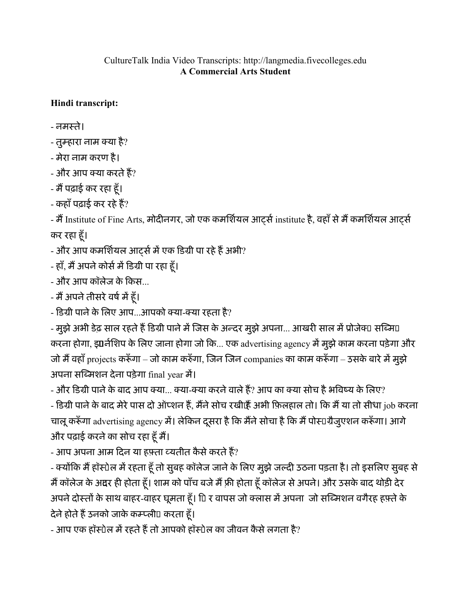## CultureTalk India Video Transcripts: http://langmedia.fivecolleges.edu A Commercial Arts Student

## Hindi transcript:

- नमःते।

- तुम्हारा नाम क्या है?
- मेरा नाम करण है।
- और आप या करतेह?
- मैं पढ़ाई कर रहा हूँ।
- $-$  कहाँ पढ़ाई कर रहे हैं?

- मैं Institute of Fine Arts, मोदीनगर, जो एक कमर्शियल आर्ट्स institute है, वहाँ से मैं कमर्शियल आर्ट्स कर रहा हँ।ू

- और आप कमर्शियल आर्ट्स में एक डिग्री पा रहे हैं अभी?
- हाँ, मैं अपने कोर्स में डिग्री पा रहा हँ।
- और आप कॉलेज के िकस...
- मैं अपने तीसरे वर्ष में हँ।
- डिग्री पाने के लिए आप...आपको क्या-क्या रहता है?

- मुझे अभी डेढ़ साल रहते हैं डिग्री पाने में जिस के अन्दर मुझे अपना... आखरी साल में प्रोजेक्⊔ सब्मि□ करना होगा, इंगर्नशिप के लिए जाना होगा जो कि... एक advertising agency में मुझे काम करना पड़ेगा और जो मैं वहाँ projects करूँगा – जो काम करुँगा, जिन जिन companies का काम करूँगा – उसके बारे में मुझे अपना सि6मशन देना पड़ेगा final year म'।

- और डिग्री पाने के बाद आप क्या... क्या-क्या करने वाले हैं? आप का क्या सोच है भविष्य के लिए? - डिग्री पाने के बाद मेरे पास दो ऑप्शन हैं, मैंने सोच रखीऐँ अभी फ़िलहाल तो। कि मैं या तो सीधा job करना चालू करूँगा advertising agency में। लेकिन दूसरा है कि मैंने सोचा है कि मैं पोस्ाग्रैजुएशन करूँगा। आगे और पढ़ाई करने का सोच रहा हूँ मैं।

- आप अपना आम दिन या हफ़्ता व्यतीत कैसे करते हैं?

- क्योंकि मैं हॉस्पेल में रहता हूँ तो सुबह कॉलेज जाने के लिए मुझे जल्दी उठना पड़ता है। तो इसलिए सुबह से मैं कॉलेज के अद्वर ही होता हूँ। शाम को पाँच बजे मैं फ़्री होता हूँ कॉलेज से अपने। और उसके बाद थोड़ी देर अपने दोस्तों के साथ बाहर-वाहर घूमता हूँ। 1 र वापस जो क्लास में अपना जो सब्मिशन वगैरह हफ़्ते के देने होते हैं उनको जाके कम्प्ली⊔ करता हूँ।

- आप एक हॉस्पेल में रहते हैं तो आपको हॉस्पेल का जीवन कैसे लगता है?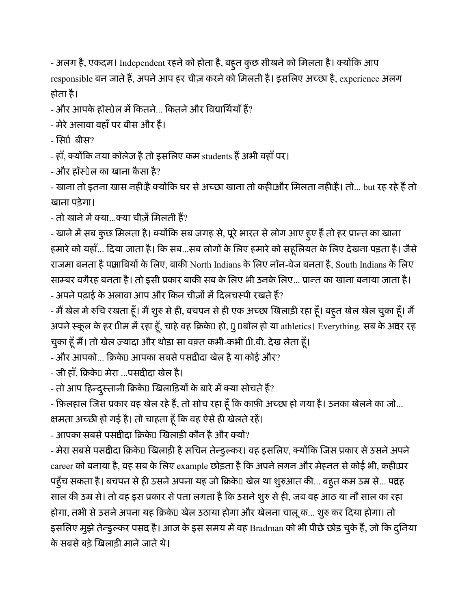- अलग है, एकदम। Independent रहने को होता है, बहूत कुछ सीखने को मिलता है। क्योंकि आप responsible बन जाते हैं, अपने आप हर चीज़ करने को मिलती है। इसलिए अच्छा है, experience अलग होता है।

 $-$  और आपके हॉस्पेल में कितने... कितने और विद्यार्थियाँ हैं?

- मेरे अलावा वहाँ पर बीस और हैं।

- सिर्। बीस?

- हाँ, क्योंकि नया कॉलेज है तो इसलिए कम students हैं अभी वहाँ पर।

- और हॉःटेल का खाना कै सा है?

- खाना तो इतना खास नहीं। क्योंकि घर से अच्छा खाना तो कहीफ़ौर मिलता नहीं। तो... but रह रहे हैं तो खाना पड़ेगा।

- तो खाने में क्या…क्या चीज़ें मिलती हैं?

- खाने में सब कुछ मिलता है। क्योंकि सब जगह से, पूरे भारत से लोग आए हूए हैं तो हर प्रान्त का खाना हमारे को यहाँ... दिया जाता है। कि सब...सब लोगों के लिए हमारे को सहूलियत के लिए देखना पड़ता है। जैसे राजमा बनता है पंजाबियों के लिए, बाकी North Indians के लिए नॉन-वेज बनता है, South Indians के लिए साम्बर वगैरह बनता है। तो इसी प्रकार बाकी सब के लिए भी उनके लिए... प्रान्त का खाना बनाया जाता है। - अपने पढ़ाई के अलावा आप और किन चीज़ों में दिलचस्पी रखते हैं?

- मैं खेल में रुचि रखता हूँ। मैं शुरु से ही, बचपन से ही एक अच्छा खिलाड़ी रहा हूँ। बहुत खेल खेल चुका हूँ। मैं अपने स्कूल के हर पीम में रहा हूँ, चाहे वह क्रिकेप हो, पु पबॉल हो या athletics। Everything. सब के अंदर रह चुका हूँ मैं। तो खेल ज़्यादा और थोड़ा सा वक़्त कभी-कभी ⊔ी.वी. देख लेता हूँ।

 $-$  और आपको... क्रिके $\Box$  आपका सबसे पसंदीदा खेल है या कोई और?

- जी हाँ, क्रिके□ मेरा …पसंदीदा खेल है।

- तो आप हिन्दुस्तानी क्रिके⊔ खिलाड़ियों के बारे में क्या सोचते हैं?

- फ़िलहाल जिस प्रकार वह खेल रहे हैं, तो सोच रहा हूँ कि काफ़ी अच्छा हो गया है। उनका खेलने का जो... क्षमता अच्छी हो गई है। तो चाहता हूँ कि वह ऐसे ही खेलते रहें।

 $-$  आपका सबसे पसद्यीदा क्रिके $\Box$  खिलाड़ी कौन है और क्यों?

- मेरा सबसे पसद्वीदा क्रिके⊔ खिलाड़ी है सचिन तेन्डुल्कर। वह इसलिए, क्योंकि जिस प्रकार से उसने अपने career को बनाया है, वह सब के लिए example छोड़ता है कि अपने लगन और मेहनत से कोई भी, कहीप्रर पहुँच सकता है। बचपन से ही उसने अपना यह जो क्रिके0 खेल था शुरुआत की... बहुत कम उम्र से... पं्रदह साल की उम्र से। तो वह इस प्रकार से पता लगता है कि उसने शुरु से ही, जब वह आठ या नौ साल का रहा होगा, तभी से उसने अपना यह क्रिके¤ खेल उठाया होगा और खेलना चालू क... शुरु कर दिया होगा। तो इसलिए मुझे तेन्डुल्कर पसंद है। आज के इस समय में वह Bradman को भी पीछे छोड़ चुके हैं, जो कि दुनिया के सबसे बड़े खिलाड़ी माने जाते थे।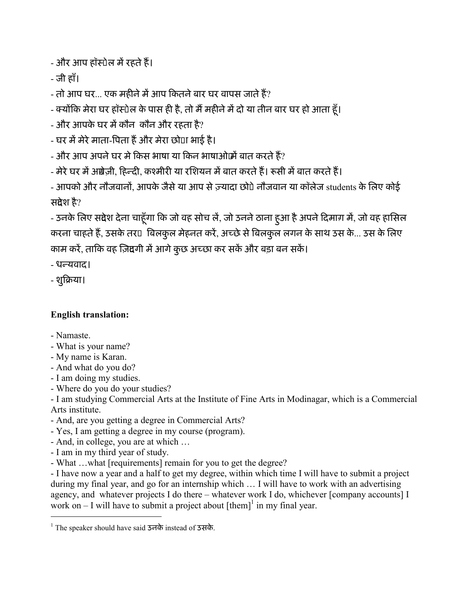- और आप हॉस्पेल में रहते हैं।

- जी हाँ।

- तो आप घर... एक महीने में आप कितने बार घर वापस जाते हैं?

- क्योंकि मेरा घर हॉस्पेल के पास ही है, तो मैं महीने में दो या तीन बार घर हो आता हूँ।

- और आपके घर म'कौन कौन और रहता है?

- घर में मेरे माता-पिता हैं और मेरा छो⊔ा भाई है।

- और आप अपने घर मे किस भाषा या किन भाषाओं।में बात करते हैं?

- मेरे घर में अंग्रेजी, हिन्दी, कश्मीरी या रशियन में बात करते हैं। रूसी में बात करते हैं।

- आपको और नौजवानों, आपके जैसे या आप से ज़्यादा छो⊔े नौजवान या कॉलेज students के लिए कोई संदेश है?

- उनके लिए संदेश देना चाहूँगा कि जो वह सोच लें, जो उनने ठाना हुआ है अपने दिमाग़ में, जो वह हासिल करना चाहते हैं, उसके तर¤ बिलकुल मेहनत करें, अच्छे से बिलकुल लगन के साथ उस के... उस के लिए काम करें, ताकि वह ज़िद्यगी में आगे कुछ अच्छा कर सकें और बड़ा बन सकें।

- धन्यवाद।

- शुिबया।

## English translation:

- Namaste.

 $\overline{a}$ 

- What is your name?
- My name is Karan.
- And what do you do?
- I am doing my studies.
- Where do you do your studies?

- I am studying Commercial Arts at the Institute of Fine Arts in Modinagar, which is a Commercial Arts institute.

- And, are you getting a degree in Commercial Arts?
- Yes, I am getting a degree in my course (program).
- And, in college, you are at which …
- I am in my third year of study.
- What …what [requirements] remain for you to get the degree?

- I have now a year and a half to get my degree, within which time I will have to submit a project during my final year, and go for an internship which … I will have to work with an advertising agency, and whatever projects I do there – whatever work I do, whichever [company accounts] I work on  $-1$  will have to submit a project about  $[them]$ <sup>1</sup> in my final year.

<sup>1</sup> The speaker should have said उनके instead of उसके.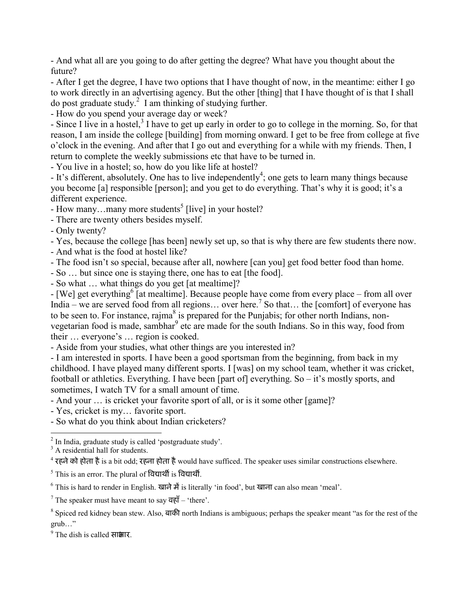- And what all are you going to do after getting the degree? What have you thought about the future?

- After I get the degree, I have two options that I have thought of now, in the meantime: either I go to work directly in an advertising agency. But the other [thing] that I have thought of is that I shall do post graduate study. $^{2}$  I am thinking of studying further.

- How do you spend your average day or week?

- Since I live in a hostel,<sup>3</sup> I have to get up early in order to go to college in the morning. So, for that reason, I am inside the college [building] from morning onward. I get to be free from college at five o'clock in the evening. And after that I go out and everything for a while with my friends. Then, I return to complete the weekly submissions etc that have to be turned in.

- You live in a hostel; so, how do you like life at hostel?

- It's different, absolutely. One has to live independently<sup>4</sup>; one gets to learn many things because you become [a] responsible [person]; and you get to do everything. That's why it is good; it's a different experience.

- How many...many more students<sup>5</sup> [live] in your hostel?

- There are twenty others besides myself.

- Only twenty?

- Yes, because the college [has been] newly set up, so that is why there are few students there now.

- And what is the food at hostel like?

- The food isn't so special, because after all, nowhere [can you] get food better food than home.

- So … but since one is staying there, one has to eat [the food].

- So what … what things do you get [at mealtime]?

- [We] get everything<sup>6</sup> [at mealtime]. Because people have come from every place – from all over India – we are served food from all regions... over here.<sup>7</sup> So that... the [comfort] of everyone has to be seen to. For instance, rajma<sup>8</sup> is prepared for the Punjabis; for other north Indians, nonvegetarian food is made, sambhar<sup>9</sup> etc are made for the south Indians. So in this way, food from their … everyone's … region is cooked.

- Aside from your studies, what other things are you interested in?

- I am interested in sports. I have been a good sportsman from the beginning, from back in my childhood. I have played many different sports. I [was] on my school team, whether it was cricket, football or athletics. Everything. I have been [part of] everything. So – it's mostly sports, and sometimes, I watch TV for a small amount of time.

- And your ... is cricket your favorite sport of all, or is it some other [game]?

- Yes, cricket is my… favorite sport.

- So what do you think about Indian cricketers?

<sup>3</sup> A residential hall for students.

 $^4$  रहने को होता है is a bit odd; रहना होता है would have sufficed. The speaker uses similar constructions elsewhere.

<sup>&</sup>lt;sup>2</sup> In India, graduate study is called 'postgraduate study'.

 $^5$  This is an error. The plural of विद्यार्थी is विद्यार्थी.

<sup>&</sup>lt;sup>6</sup> This is hard to render in English. खाने में is literally 'in food', but खाना can also mean 'meal'.

The speaker must have meant to say  $\overrightarrow{q}$  = 'there'.

<sup>8</sup> Spiced red kidney bean stew. Also, बाकी north Indians is ambiguous; perhaps the speaker meant "as for the rest of the grub…"

<sup>&</sup>lt;sup>9</sup> The dish is called सा*धार*.